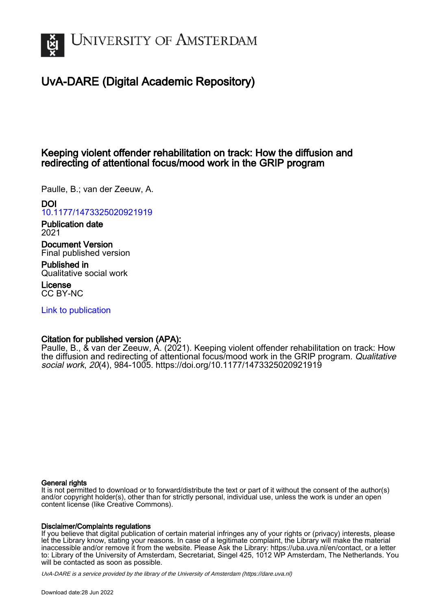

# UvA-DARE (Digital Academic Repository)

## Keeping violent offender rehabilitation on track: How the diffusion and redirecting of attentional focus/mood work in the GRIP program

Paulle, B.; van der Zeeuw, A.

DOI

[10.1177/1473325020921919](https://doi.org/10.1177/1473325020921919)

Publication date 2021

Document Version Final published version

Published in Qualitative social work

License CC BY-NC

[Link to publication](https://dare.uva.nl/personal/pure/en/publications/keeping-violent-offender-rehabilitation-on-track-how-the-diffusion-and-redirecting-of-attentional-focusmood-work-in-the-grip-program(7caad1bc-380d-4ccf-97d6-107e30535dba).html)

## Citation for published version (APA):

Paulle, B., & van der Zeeuw, A. (2021). Keeping violent offender rehabilitation on track: How the diffusion and redirecting of attentional focus/mood work in the GRIP program. Qualitative social work, 20(4), 984-1005. <https://doi.org/10.1177/1473325020921919>

#### General rights

It is not permitted to download or to forward/distribute the text or part of it without the consent of the author(s) and/or copyright holder(s), other than for strictly personal, individual use, unless the work is under an open content license (like Creative Commons).

#### Disclaimer/Complaints regulations

If you believe that digital publication of certain material infringes any of your rights or (privacy) interests, please let the Library know, stating your reasons. In case of a legitimate complaint, the Library will make the material inaccessible and/or remove it from the website. Please Ask the Library: https://uba.uva.nl/en/contact, or a letter to: Library of the University of Amsterdam, Secretariat, Singel 425, 1012 WP Amsterdam, The Netherlands. You will be contacted as soon as possible.

UvA-DARE is a service provided by the library of the University of Amsterdam (http*s*://dare.uva.nl)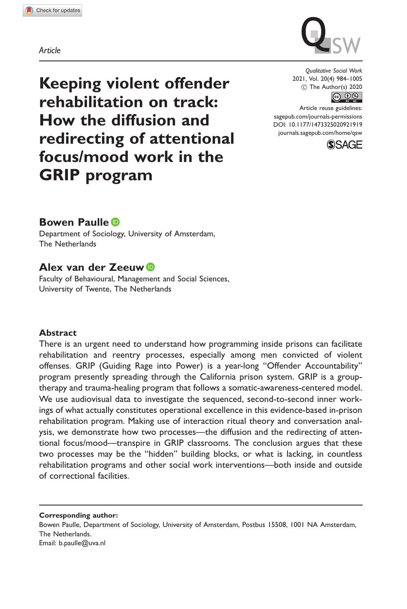Article



Keeping violent offender rehabilitation on track: How the diffusion and redirecting of attentional focus/mood work in the GRIP program

Qualitative Social Work 2021, Vol. 20(4) 984–1005  $\circled{c}$  The Author(s) 2020

Article reuse guidelines: [sagepub.com/journals-permissions](http://uk.sagepub.com/en-gb/journals-permissions) [DOI: 10.1177/1473325020921919](http://dx.doi.org/10.1177/1473325020921919)

<journals.sagepub.com/home/qsw>



### Bowen Paulle

Department of Sociology, University of Amsterdam, The Netherlands

### Alex van der Zeeuw

Faculty of Behavioural, Management and Social Sciences, University of Twente, The Netherlands

#### Abstract

There is an urgent need to understand how programming inside prisons can facilitate rehabilitation and reentry processes, especially among men convicted of violent offenses. GRIP (Guiding Rage into Power) is a year-long "Offender Accountability" program presently spreading through the California prison system. GRIP is a grouptherapy and trauma-healing program that follows a somatic-awareness-centered model. We use audiovisual data to investigate the sequenced, second-to-second inner workings of what actually constitutes operational excellence in this evidence-based in-prison rehabilitation program. Making use of interaction ritual theory and conversation analysis, we demonstrate how two processes—the diffusion and the redirecting of attentional focus/mood—transpire in GRIP classrooms. The conclusion argues that these two processes may be the "hidden" building blocks, or what is lacking, in countless rehabilitation programs and other social work interventions—both inside and outside of correctional facilities.

Corresponding author: Bowen Paulle, Department of Sociology, University of Amsterdam, Postbus 15508, 1001 NA Amsterdam, The Netherlands. Email: [b.paulle@uva.nl](mailto:b.paulle@uva.nl)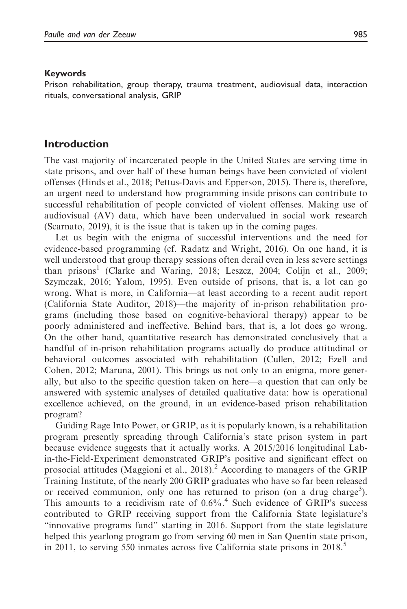#### Keywords

Prison rehabilitation, group therapy, trauma treatment, audiovisual data, interaction rituals, conversational analysis, GRIP

#### Introduction

The vast majority of incarcerated people in the United States are serving time in state prisons, and over half of these human beings have been convicted of violent offenses (Hinds et al., 2018; Pettus-Davis and Epperson, 2015). There is, therefore, an urgent need to understand how programming inside prisons can contribute to successful rehabilitation of people convicted of violent offenses. Making use of audiovisual (AV) data, which have been undervalued in social work research (Scarnato, 2019), it is the issue that is taken up in the coming pages.

Let us begin with the enigma of successful interventions and the need for evidence-based programming (cf. Radatz and Wright, 2016). On one hand, it is well understood that group therapy sessions often derail even in less severe settings than prisons<sup>1</sup> (Clarke and Waring, 2018; Leszcz, 2004; Colijn et al., 2009; Szymczak, 2016; Yalom, 1995). Even outside of prisons, that is, a lot can go wrong. What is more, in California—at least according to a recent audit report (California State Auditor, 2018)—the majority of in-prison rehabilitation programs (including those based on cognitive-behavioral therapy) appear to be poorly administered and ineffective. Behind bars, that is, a lot does go wrong. On the other hand, quantitative research has demonstrated conclusively that a handful of in-prison rehabilitation programs actually do produce attitudinal or behavioral outcomes associated with rehabilitation (Cullen, 2012; Ezell and Cohen, 2012; Maruna, 2001). This brings us not only to an enigma, more generally, but also to the specific question taken on here—a question that can only be answered with systemic analyses of detailed qualitative data: how is operational excellence achieved, on the ground, in an evidence-based prison rehabilitation program?

Guiding Rage Into Power, or GRIP, as it is popularly known, is a rehabilitation program presently spreading through California's state prison system in part because evidence suggests that it actually works. A 2015/2016 longitudinal Labin-the-Field-Experiment demonstrated GRIP's positive and significant effect on prosocial attitudes (Maggioni et al., 2018).<sup>2</sup> According to managers of the GRIP Training Institute, of the nearly 200 GRIP graduates who have so far been released or received communion, only one has returned to prison (on a drug charge<sup>3</sup>). This amounts to a recidivism rate of  $0.6\%$ .<sup>4</sup> Such evidence of GRIP's success contributed to GRIP receiving support from the California State legislature's "innovative programs fund" starting in 2016. Support from the state legislature helped this yearlong program go from serving 60 men in San Quentin state prison, in 2011, to serving 550 inmates across five California state prisons in 2018. $\degree$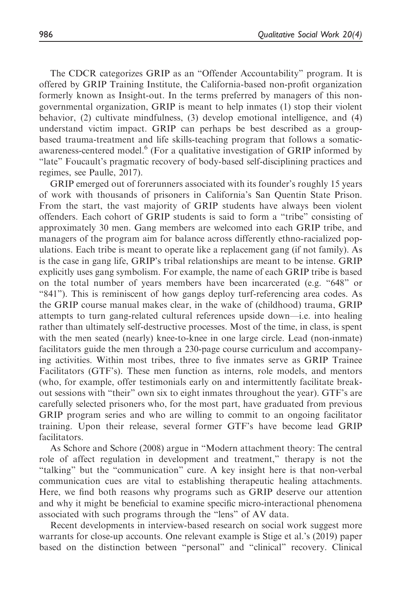The CDCR categorizes GRIP as an "Offender Accountability" program. It is offered by GRIP Training Institute, the California-based non-profit organization formerly known as Insight-out. In the terms preferred by managers of this nongovernmental organization, GRIP is meant to help inmates (1) stop their violent behavior, (2) cultivate mindfulness, (3) develop emotional intelligence, and (4) understand victim impact. GRIP can perhaps be best described as a groupbased trauma-treatment and life skills-teaching program that follows a somaticawareness-centered model.<sup>6</sup> (For a qualitative investigation of GRIP informed by "late" Foucault's pragmatic recovery of body-based self-disciplining practices and regimes, see Paulle, 2017).

GRIP emerged out of forerunners associated with its founder's roughly 15 years of work with thousands of prisoners in California's San Quentin State Prison. From the start, the vast majority of GRIP students have always been violent offenders. Each cohort of GRIP students is said to form a "tribe" consisting of approximately 30 men. Gang members are welcomed into each GRIP tribe, and managers of the program aim for balance across differently ethno-racialized populations. Each tribe is meant to operate like a replacement gang (if not family). As is the case in gang life, GRIP's tribal relationships are meant to be intense. GRIP explicitly uses gang symbolism. For example, the name of each GRIP tribe is based on the total number of years members have been incarcerated (e.g. "648" or "841"). This is reminiscent of how gangs deploy turf-referencing area codes. As the GRIP course manual makes clear, in the wake of (childhood) trauma, GRIP attempts to turn gang-related cultural references upside down—i.e. into healing rather than ultimately self-destructive processes. Most of the time, in class, is spent with the men seated (nearly) knee-to-knee in one large circle. Lead (non-inmate) facilitators guide the men through a 230-page course curriculum and accompanying activities. Within most tribes, three to five inmates serve as GRIP Trainee Facilitators (GTF's). These men function as interns, role models, and mentors (who, for example, offer testimonials early on and intermittently facilitate breakout sessions with "their" own six to eight inmates throughout the year). GTF's are carefully selected prisoners who, for the most part, have graduated from previous GRIP program series and who are willing to commit to an ongoing facilitator training. Upon their release, several former GTF's have become lead GRIP facilitators.

As Schore and Schore (2008) argue in "Modern attachment theory: The central role of affect regulation in development and treatment," therapy is not the "talking" but the "communication" cure. A key insight here is that non-verbal communication cues are vital to establishing therapeutic healing attachments. Here, we find both reasons why programs such as GRIP deserve our attention and why it might be beneficial to examine specific micro-interactional phenomena associated with such programs through the "lens" of AV data.

Recent developments in interview-based research on social work suggest more warrants for close-up accounts. One relevant example is Stige et al.'s (2019) paper based on the distinction between "personal" and "clinical" recovery. Clinical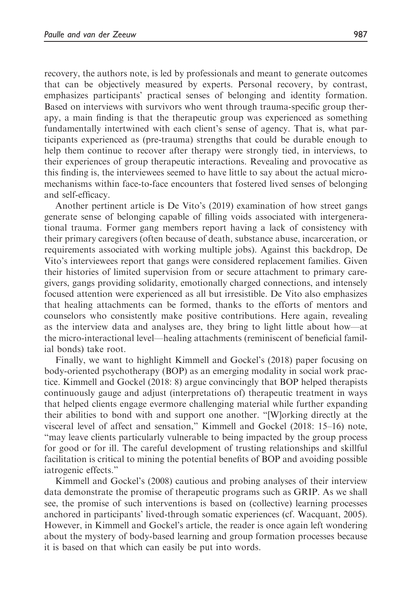recovery, the authors note, is led by professionals and meant to generate outcomes that can be objectively measured by experts. Personal recovery, by contrast, emphasizes participants' practical senses of belonging and identity formation. Based on interviews with survivors who went through trauma-specific group therapy, a main finding is that the therapeutic group was experienced as something fundamentally intertwined with each client's sense of agency. That is, what participants experienced as (pre-trauma) strengths that could be durable enough to help them continue to recover after therapy were strongly tied, in interviews, to their experiences of group therapeutic interactions. Revealing and provocative as this finding is, the interviewees seemed to have little to say about the actual micromechanisms within face-to-face encounters that fostered lived senses of belonging and self-efficacy.

Another pertinent article is De Vito's (2019) examination of how street gangs generate sense of belonging capable of filling voids associated with intergenerational trauma. Former gang members report having a lack of consistency with their primary caregivers (often because of death, substance abuse, incarceration, or requirements associated with working multiple jobs). Against this backdrop, De Vito's interviewees report that gangs were considered replacement families. Given their histories of limited supervision from or secure attachment to primary caregivers, gangs providing solidarity, emotionally charged connections, and intensely focused attention were experienced as all but irresistible. De Vito also emphasizes that healing attachments can be formed, thanks to the efforts of mentors and counselors who consistently make positive contributions. Here again, revealing as the interview data and analyses are, they bring to light little about how—at the micro-interactional level—healing attachments (reminiscent of beneficial familial bonds) take root.

Finally, we want to highlight Kimmell and Gockel's (2018) paper focusing on body-oriented psychotherapy (BOP) as an emerging modality in social work practice. Kimmell and Gockel (2018: 8) argue convincingly that BOP helped therapists continuously gauge and adjust (interpretations of) therapeutic treatment in ways that helped clients engage evermore challenging material while further expanding their abilities to bond with and support one another. "[W]orking directly at the visceral level of affect and sensation," Kimmell and Gockel (2018: 15–16) note, "may leave clients particularly vulnerable to being impacted by the group process for good or for ill. The careful development of trusting relationships and skillful facilitation is critical to mining the potential benefits of BOP and avoiding possible iatrogenic effects."

Kimmell and Gockel's (2008) cautious and probing analyses of their interview data demonstrate the promise of therapeutic programs such as GRIP. As we shall see, the promise of such interventions is based on (collective) learning processes anchored in participants' lived-through somatic experiences (cf. Wacquant, 2005). However, in Kimmell and Gockel's article, the reader is once again left wondering about the mystery of body-based learning and group formation processes because it is based on that which can easily be put into words.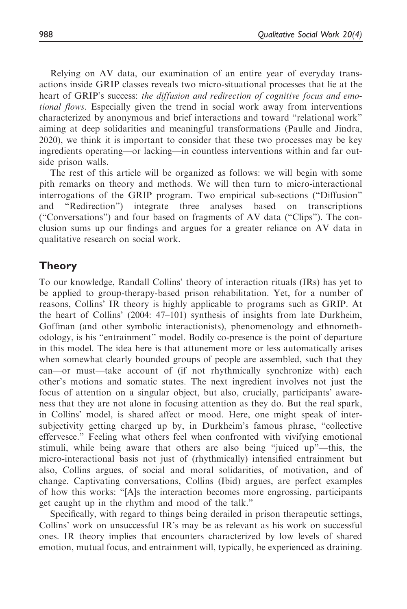Relying on AV data, our examination of an entire year of everyday transactions inside GRIP classes reveals two micro-situational processes that lie at the heart of GRIP's success: the diffusion and redirection of cognitive focus and emotional flows. Especially given the trend in social work away from interventions characterized by anonymous and brief interactions and toward "relational work" aiming at deep solidarities and meaningful transformations (Paulle and Jindra, 2020), we think it is important to consider that these two processes may be key ingredients operating—or lacking—in countless interventions within and far outside prison walls.

The rest of this article will be organized as follows: we will begin with some pith remarks on theory and methods. We will then turn to micro-interactional interrogations of the GRIP program. Two empirical sub-sections ("Diffusion" and "Redirection") integrate three analyses based on transcriptions ("Conversations") and four based on fragments of AV data ("Clips"). The conclusion sums up our findings and argues for a greater reliance on AV data in qualitative research on social work.

#### Theory

To our knowledge, Randall Collins' theory of interaction rituals (IRs) has yet to be applied to group-therapy-based prison rehabilitation. Yet, for a number of reasons, Collins' IR theory is highly applicable to programs such as GRIP. At the heart of Collins' (2004: 47–101) synthesis of insights from late Durkheim, Goffman (and other symbolic interactionists), phenomenology and ethnomethodology, is his "entrainment" model. Bodily co-presence is the point of departure in this model. The idea here is that attunement more or less automatically arises when somewhat clearly bounded groups of people are assembled, such that they can—or must—take account of (if not rhythmically synchronize with) each other's motions and somatic states. The next ingredient involves not just the focus of attention on a singular object, but also, crucially, participants' awareness that they are not alone in focusing attention as they do. But the real spark, in Collins' model, is shared affect or mood. Here, one might speak of intersubjectivity getting charged up by, in Durkheim's famous phrase, "collective effervesce." Feeling what others feel when confronted with vivifying emotional stimuli, while being aware that others are also being "juiced up"—this, the micro-interactional basis not just of (rhythmically) intensified entrainment but also, Collins argues, of social and moral solidarities, of motivation, and of change. Captivating conversations, Collins (Ibid) argues, are perfect examples of how this works: "[A]s the interaction becomes more engrossing, participants get caught up in the rhythm and mood of the talk."

Specifically, with regard to things being derailed in prison therapeutic settings, Collins' work on unsuccessful IR's may be as relevant as his work on successful ones. IR theory implies that encounters characterized by low levels of shared emotion, mutual focus, and entrainment will, typically, be experienced as draining.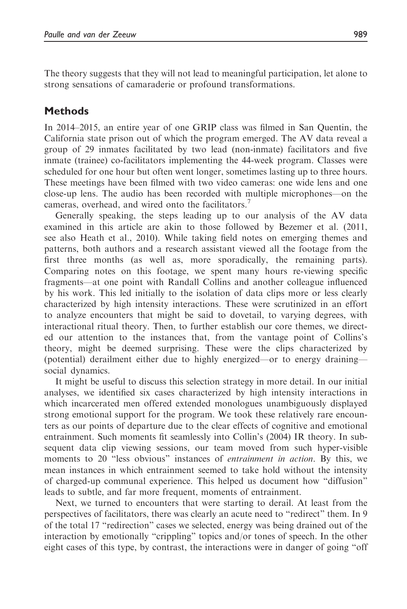The theory suggests that they will not lead to meaningful participation, let alone to strong sensations of camaraderie or profound transformations.

### Methods

In 2014–2015, an entire year of one GRIP class was filmed in San Quentin, the California state prison out of which the program emerged. The AV data reveal a group of 29 inmates facilitated by two lead (non-inmate) facilitators and five inmate (trainee) co-facilitators implementing the 44-week program. Classes were scheduled for one hour but often went longer, sometimes lasting up to three hours. These meetings have been filmed with two video cameras: one wide lens and one close-up lens. The audio has been recorded with multiple microphones—on the cameras, overhead, and wired onto the facilitators.<sup>7</sup>

Generally speaking, the steps leading up to our analysis of the AV data examined in this article are akin to those followed by Bezemer et al. (2011, see also Heath et al., 2010). While taking field notes on emerging themes and patterns, both authors and a research assistant viewed all the footage from the first three months (as well as, more sporadically, the remaining parts). Comparing notes on this footage, we spent many hours re-viewing specific fragments—at one point with Randall Collins and another colleague influenced by his work. This led initially to the isolation of data clips more or less clearly characterized by high intensity interactions. These were scrutinized in an effort to analyze encounters that might be said to dovetail, to varying degrees, with interactional ritual theory. Then, to further establish our core themes, we directed our attention to the instances that, from the vantage point of Collins's theory, might be deemed surprising. These were the clips characterized by (potential) derailment either due to highly energized—or to energy draining social dynamics.

It might be useful to discuss this selection strategy in more detail. In our initial analyses, we identified six cases characterized by high intensity interactions in which incarcerated men offered extended monologues unambiguously displayed strong emotional support for the program. We took these relatively rare encounters as our points of departure due to the clear effects of cognitive and emotional entrainment. Such moments fit seamlessly into Collin's (2004) IR theory. In subsequent data clip viewing sessions, our team moved from such hyper-visible moments to 20 "less obvious" instances of *entrainment in action*. By this, we mean instances in which entrainment seemed to take hold without the intensity of charged-up communal experience. This helped us document how "diffusion" leads to subtle, and far more frequent, moments of entrainment.

Next, we turned to encounters that were starting to derail. At least from the perspectives of facilitators, there was clearly an acute need to "redirect" them. In 9 of the total 17 "redirection" cases we selected, energy was being drained out of the interaction by emotionally "crippling" topics and/or tones of speech. In the other eight cases of this type, by contrast, the interactions were in danger of going "off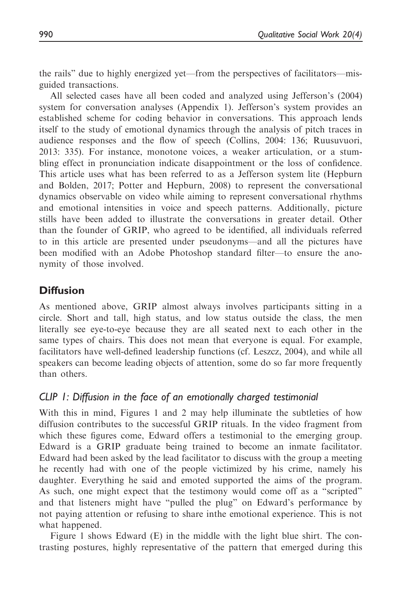the rails" due to highly energized yet—from the perspectives of facilitators—misguided transactions.

All selected cases have all been coded and analyzed using Jefferson's (2004) system for conversation analyses (Appendix 1). Jefferson's system provides an established scheme for coding behavior in conversations. This approach lends itself to the study of emotional dynamics through the analysis of pitch traces in audience responses and the flow of speech (Collins, 2004: 136; Ruusuvuori, 2013: 335). For instance, monotone voices, a weaker articulation, or a stumbling effect in pronunciation indicate disappointment or the loss of confidence. This article uses what has been referred to as a Jefferson system lite (Hepburn and Bolden, 2017; Potter and Hepburn, 2008) to represent the conversational dynamics observable on video while aiming to represent conversational rhythms and emotional intensities in voice and speech patterns. Additionally, picture stills have been added to illustrate the conversations in greater detail. Other than the founder of GRIP, who agreed to be identified, all individuals referred to in this article are presented under pseudonyms—and all the pictures have been modified with an Adobe Photoshop standard filter—to ensure the anonymity of those involved.

### **Diffusion**

As mentioned above, GRIP almost always involves participants sitting in a circle. Short and tall, high status, and low status outside the class, the men literally see eye-to-eye because they are all seated next to each other in the same types of chairs. This does not mean that everyone is equal. For example, facilitators have well-defined leadership functions (cf. Leszcz, 2004), and while all speakers can become leading objects of attention, some do so far more frequently than others.

### CLIP 1: Diffusion in the face of an emotionally charged testimonial

With this in mind, Figures 1 and 2 may help illuminate the subtleties of how diffusion contributes to the successful GRIP rituals. In the video fragment from which these figures come, Edward offers a testimonial to the emerging group. Edward is a GRIP graduate being trained to become an inmate facilitator. Edward had been asked by the lead facilitator to discuss with the group a meeting he recently had with one of the people victimized by his crime, namely his daughter. Everything he said and emoted supported the aims of the program. As such, one might expect that the testimony would come off as a "scripted" and that listeners might have "pulled the plug" on Edward's performance by not paying attention or refusing to share inthe emotional experience. This is not what happened.

Figure 1 shows Edward (E) in the middle with the light blue shirt. The contrasting postures, highly representative of the pattern that emerged during this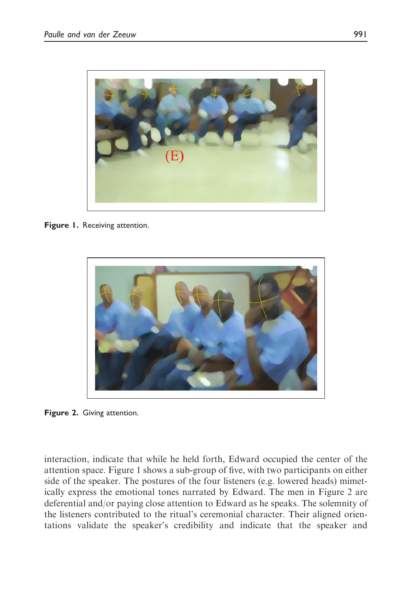

Figure 1. Receiving attention.



Figure 2. Giving attention.

interaction, indicate that while he held forth, Edward occupied the center of the attention space. Figure 1 shows a sub-group of five, with two participants on either side of the speaker. The postures of the four listeners (e.g. lowered heads) mimetically express the emotional tones narrated by Edward. The men in Figure 2 are deferential and/or paying close attention to Edward as he speaks. The solemnity of the listeners contributed to the ritual's ceremonial character. Their aligned orientations validate the speaker's credibility and indicate that the speaker and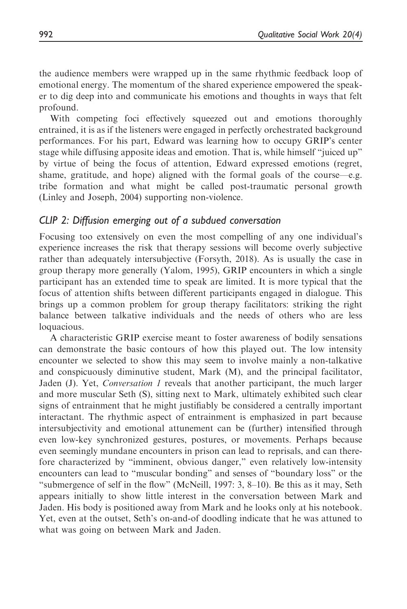the audience members were wrapped up in the same rhythmic feedback loop of emotional energy. The momentum of the shared experience empowered the speaker to dig deep into and communicate his emotions and thoughts in ways that felt profound.

With competing foci effectively squeezed out and emotions thoroughly entrained, it is as if the listeners were engaged in perfectly orchestrated background performances. For his part, Edward was learning how to occupy GRIP's center stage while diffusing apposite ideas and emotion. That is, while himself "juiced up" by virtue of being the focus of attention, Edward expressed emotions (regret, shame, gratitude, and hope) aligned with the formal goals of the course—e.g. tribe formation and what might be called post-traumatic personal growth (Linley and Joseph, 2004) supporting non-violence.

#### CLIP 2: Diffusion emerging out of a subdued conversation

Focusing too extensively on even the most compelling of any one individual's experience increases the risk that therapy sessions will become overly subjective rather than adequately intersubjective (Forsyth, 2018). As is usually the case in group therapy more generally (Yalom, 1995), GRIP encounters in which a single participant has an extended time to speak are limited. It is more typical that the focus of attention shifts between different participants engaged in dialogue. This brings up a common problem for group therapy facilitators: striking the right balance between talkative individuals and the needs of others who are less loquacious.

A characteristic GRIP exercise meant to foster awareness of bodily sensations can demonstrate the basic contours of how this played out. The low intensity encounter we selected to show this may seem to involve mainly a non-talkative and conspicuously diminutive student, Mark (M), and the principal facilitator, Jaden (J). Yet, *Conversation 1* reveals that another participant, the much larger and more muscular Seth (S), sitting next to Mark, ultimately exhibited such clear signs of entrainment that he might justifiably be considered a centrally important interactant. The rhythmic aspect of entrainment is emphasized in part because intersubjectivity and emotional attunement can be (further) intensified through even low-key synchronized gestures, postures, or movements. Perhaps because even seemingly mundane encounters in prison can lead to reprisals, and can therefore characterized by "imminent, obvious danger," even relatively low-intensity encounters can lead to "muscular bonding" and senses of "boundary loss" or the "submergence of self in the flow" (McNeill, 1997: 3, 8–10). Be this as it may, Seth appears initially to show little interest in the conversation between Mark and Jaden. His body is positioned away from Mark and he looks only at his notebook. Yet, even at the outset, Seth's on-and-of doodling indicate that he was attuned to what was going on between Mark and Jaden.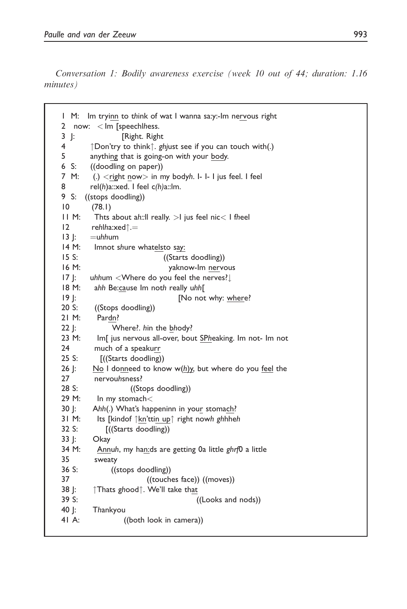Conversation 1: Bodily awareness exercise (week 10 out of 44; duration: 1.16 minutes)

| Im tryinn to think of wat I wanna sa:y:-Im nervous right<br>I<br>M:            |  |  |  |  |  |
|--------------------------------------------------------------------------------|--|--|--|--|--|
| $\overline{2}$<br>now: < Im [speechlhess.                                      |  |  |  |  |  |
| 3<br>$\mathbf{r}$<br>[Right. Right                                             |  |  |  |  |  |
| 4<br>↑Don'try to think↑. ghjust see if you can touch with(.)                   |  |  |  |  |  |
| 5<br>anything that is going-on with your body.                                 |  |  |  |  |  |
| 6<br>((doodling on paper))<br>S:                                               |  |  |  |  |  |
| 7 M:<br>(.) $\langle$ right now $>$ in my bodyh. I- I- I jus feel. I feel      |  |  |  |  |  |
| 8<br>rel(h)a::xed. I feel $c(h)$ a::Im.                                        |  |  |  |  |  |
| 9 S:<br>((stops doodling))                                                     |  |  |  |  |  |
| 10<br>(78.1)                                                                   |  |  |  |  |  |
| 11 M:<br>Thts about ah:: Il really. $>$ I jus feel nic $<$ I fheel             |  |  |  |  |  |
| $\overline{2}$<br>rehlha:xed $\uparrow =$                                      |  |  |  |  |  |
| $13$ :<br>$=$ uhhum                                                            |  |  |  |  |  |
| 14 M:<br>Imnot shure whatelsto say:                                            |  |  |  |  |  |
| ((Starts doodling))<br>15 S:                                                   |  |  |  |  |  |
| 16 M:<br>yaknow-Im nervous                                                     |  |  |  |  |  |
| $17$ J:<br>uhhum <where do="" feel="" nerves?<="" td="" the="" you=""></where> |  |  |  |  |  |
| 18 M:<br>ahh Be:cause Im noth really uhh[                                      |  |  |  |  |  |
| [No not why: where?<br>$19$  :                                                 |  |  |  |  |  |
| 20 S:<br>((Stops doodling))                                                    |  |  |  |  |  |
| 21 M:<br>Pardn?                                                                |  |  |  |  |  |
| Where?. hin the bhody?<br>22 J:                                                |  |  |  |  |  |
| 23 M:<br>Im[ jus nervous all-over, bout SPheaking. Im not- Im not              |  |  |  |  |  |
| 24<br>much of a speakurr                                                       |  |  |  |  |  |
| 25 S:<br>[((Starts doodling))                                                  |  |  |  |  |  |
| 26 J:<br>No I donneed to know $w(h)y$ , but where do you feel the              |  |  |  |  |  |
| 27<br>nervouhsness?                                                            |  |  |  |  |  |
| 28 S:<br>((Stops doodling))                                                    |  |  |  |  |  |
| 29 M:<br>In my stomach<                                                        |  |  |  |  |  |
| 30 J:<br>Ahh(.) What's happeninn in your stomach?                              |  |  |  |  |  |
| 31 M:<br>Its [kindof 1kn'ttin up <sup>1</sup> right nowh ghhheh                |  |  |  |  |  |
| 32 S:<br>[((Starts doodling))                                                  |  |  |  |  |  |
| 33 J:<br>Okay                                                                  |  |  |  |  |  |
| 34 M:<br>Annuh, my han:ds are getting 0a little ghrf0 a little                 |  |  |  |  |  |
| 35<br>sweaty                                                                   |  |  |  |  |  |
| 36 S:<br>((stops doodling))                                                    |  |  |  |  |  |
| 37<br>((touches face)) ((moves))                                               |  |  |  |  |  |
| ↑Thats ghood↑. We'll take that<br>38 J:                                        |  |  |  |  |  |
| 39 S:<br>((Looks and nods))                                                    |  |  |  |  |  |
| 40  :<br>Thankyou<br>41 A:                                                     |  |  |  |  |  |
| ((both look in camera))                                                        |  |  |  |  |  |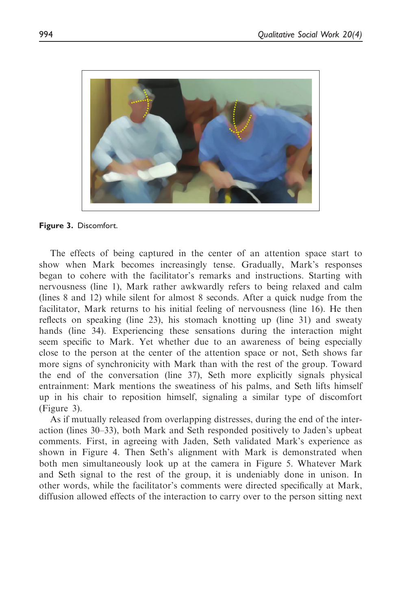

Figure 3. Discomfort.

The effects of being captured in the center of an attention space start to show when Mark becomes increasingly tense. Gradually, Mark's responses began to cohere with the facilitator's remarks and instructions. Starting with nervousness (line 1), Mark rather awkwardly refers to being relaxed and calm (lines 8 and 12) while silent for almost 8 seconds. After a quick nudge from the facilitator, Mark returns to his initial feeling of nervousness (line 16). He then reflects on speaking (line 23), his stomach knotting up (line 31) and sweaty hands (line 34). Experiencing these sensations during the interaction might seem specific to Mark. Yet whether due to an awareness of being especially close to the person at the center of the attention space or not, Seth shows far more signs of synchronicity with Mark than with the rest of the group. Toward the end of the conversation (line 37), Seth more explicitly signals physical entrainment: Mark mentions the sweatiness of his palms, and Seth lifts himself up in his chair to reposition himself, signaling a similar type of discomfort (Figure 3).

As if mutually released from overlapping distresses, during the end of the interaction (lines 30–33), both Mark and Seth responded positively to Jaden's upbeat comments. First, in agreeing with Jaden, Seth validated Mark's experience as shown in Figure 4. Then Seth's alignment with Mark is demonstrated when both men simultaneously look up at the camera in Figure 5. Whatever Mark and Seth signal to the rest of the group, it is undeniably done in unison. In other words, while the facilitator's comments were directed specifically at Mark, diffusion allowed effects of the interaction to carry over to the person sitting next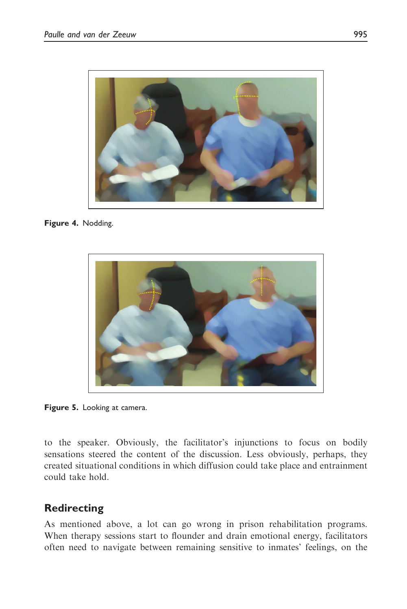

Figure 4. Nodding.



Figure 5. Looking at camera.

to the speaker. Obviously, the facilitator's injunctions to focus on bodily sensations steered the content of the discussion. Less obviously, perhaps, they created situational conditions in which diffusion could take place and entrainment could take hold.

## Redirecting

As mentioned above, a lot can go wrong in prison rehabilitation programs. When therapy sessions start to flounder and drain emotional energy, facilitators often need to navigate between remaining sensitive to inmates' feelings, on the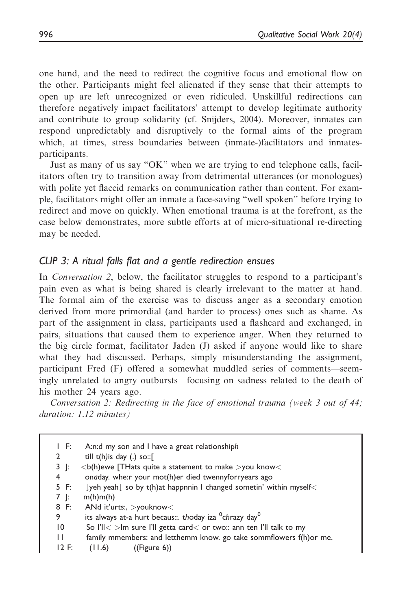one hand, and the need to redirect the cognitive focus and emotional flow on the other. Participants might feel alienated if they sense that their attempts to open up are left unrecognized or even ridiculed. Unskillful redirections can therefore negatively impact facilitators' attempt to develop legitimate authority and contribute to group solidarity (cf. Snijders, 2004). Moreover, inmates can respond unpredictably and disruptively to the formal aims of the program which, at times, stress boundaries between (inmate-)facilitators and inmatesparticipants.

Just as many of us say "OK" when we are trying to end telephone calls, facilitators often try to transition away from detrimental utterances (or monologues) with polite yet flaccid remarks on communication rather than content. For example, facilitators might offer an inmate a face-saving "well spoken" before trying to redirect and move on quickly. When emotional trauma is at the forefront, as the case below demonstrates, more subtle efforts at of micro-situational re-directing may be needed.

### CLIP 3: A ritual falls flat and a gentle redirection ensues

In *Conversation 2*, below, the facilitator struggles to respond to a participant's pain even as what is being shared is clearly irrelevant to the matter at hand. The formal aim of the exercise was to discuss anger as a secondary emotion derived from more primordial (and harder to process) ones such as shame. As part of the assignment in class, participants used a flashcard and exchanged, in pairs, situations that caused them to experience anger. When they returned to the big circle format, facilitator Jaden (J) asked if anyone would like to share what they had discussed. Perhaps, simply misunderstanding the assignment, participant Fred (F) offered a somewhat muddled series of comments—seemingly unrelated to angry outbursts—focusing on sadness related to the death of his mother 24 years ago.

Conversation 2: Redirecting in the face of emotional trauma (week 3 out of 44; duration: 1.12 minutes)

| IF:             | A:n:d my son and I have a great relationshiph                                                 |  |  |  |
|-----------------|-----------------------------------------------------------------------------------------------|--|--|--|
| $\mathbf{2}$    | till $t(h)$ is day (.) so::[                                                                  |  |  |  |
| 3  :            | $(b)$ (h)ewe [THats quite a statement to make $>$ you know $<$                                |  |  |  |
| 4               | onaday. whe:r your mot(h)er died twennyforryears ago                                          |  |  |  |
| 5 F:            | $\downarrow$ yeh yeah $\downarrow$ so by t(h)at happnnin I changed sometin' within myself $<$ |  |  |  |
| 7 I:            | m(h)m(h)                                                                                      |  |  |  |
| 8 F:            | ANd it'urts:, $>$ youknow $<$                                                                 |  |  |  |
| 9               | its always at-a hurt becaus: thoday iza <sup>0</sup> chrazy day <sup>0</sup>                  |  |  |  |
| $\overline{10}$ | So I'll $\lt$ >lm sure I'll getta card $\lt$ or two:: ann ten I'll talk to my                 |  |  |  |
| $\mathbf{1}$    | family mmembers: and letthemm know, go take sommflowers f(h) or me.                           |  |  |  |
| $12$ F:         | ((Figure 6))<br>(11.6)                                                                        |  |  |  |
|                 |                                                                                               |  |  |  |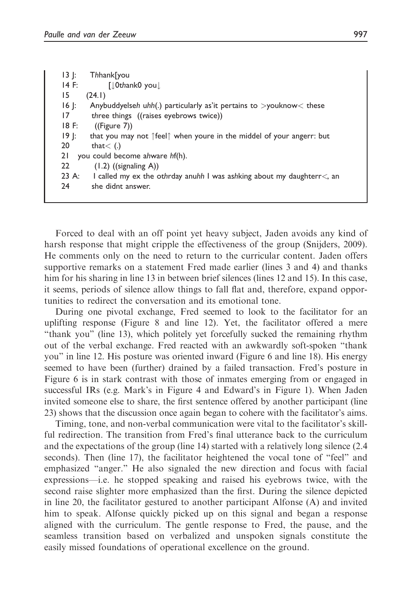| $ 3 $ :<br>Thhank[you                                                                |
|--------------------------------------------------------------------------------------|
| $14$ F:<br>$\lceil \int$ Othank0 you $\int$                                          |
| 15<br>(24.1)                                                                         |
| $16$  :<br>Anybuddyelseh uhh(.) particularly as it pertains to $>$ youknow $<$ these |
| 17<br>three things ((raises eyebrows twice))                                         |
| 18 F:<br>((Figure 7))                                                                |
| $19$  :<br>that you may not feelf when youre in the middel of your angerr: but       |
| 20<br>that $<$ (.)                                                                   |
| 21<br>you could become ahware hf(h).                                                 |
| 22<br>$(1.2)$ ((signaling A))                                                        |
| $23 \; A:$<br>I called my ex the othrday anuhh I was ashking about my daughterr<, an |
| she didnt answer.<br>24                                                              |
|                                                                                      |

Forced to deal with an off point yet heavy subject, Jaden avoids any kind of harsh response that might cripple the effectiveness of the group (Snijders, 2009). He comments only on the need to return to the curricular content. Jaden offers supportive remarks on a statement Fred made earlier (lines 3 and 4) and thanks him for his sharing in line 13 in between brief silences (lines 12 and 15). In this case, it seems, periods of silence allow things to fall flat and, therefore, expand opportunities to redirect the conversation and its emotional tone.

During one pivotal exchange, Fred seemed to look to the facilitator for an uplifting response (Figure 8 and line 12). Yet, the facilitator offered a mere "thank you" (line 13), which politely yet forcefully sucked the remaining rhythm out of the verbal exchange. Fred reacted with an awkwardly soft-spoken "thank you" in line 12. His posture was oriented inward (Figure 6 and line 18). His energy seemed to have been (further) drained by a failed transaction. Fred's posture in Figure 6 is in stark contrast with those of inmates emerging from or engaged in successful IRs (e.g. Mark's in Figure 4 and Edward's in Figure 1). When Jaden invited someone else to share, the first sentence offered by another participant (line 23) shows that the discussion once again began to cohere with the facilitator's aims.

Timing, tone, and non-verbal communication were vital to the facilitator's skillful redirection. The transition from Fred's final utterance back to the curriculum and the expectations of the group (line 14) started with a relatively long silence (2.4 seconds). Then (line 17), the facilitator heightened the vocal tone of "feel" and emphasized "anger." He also signaled the new direction and focus with facial expressions—i.e. he stopped speaking and raised his eyebrows twice, with the second raise slighter more emphasized than the first. During the silence depicted in line 20, the facilitator gestured to another participant Alfonse (A) and invited him to speak. Alfonse quickly picked up on this signal and began a response aligned with the curriculum. The gentle response to Fred, the pause, and the seamless transition based on verbalized and unspoken signals constitute the easily missed foundations of operational excellence on the ground.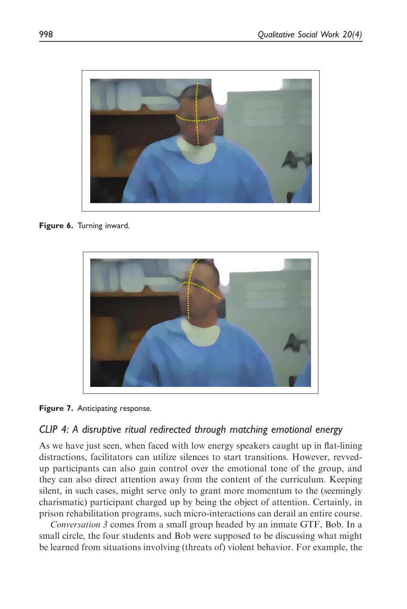

Figure 6. Turning inward.





### CLIP 4: A disruptive ritual redirected through matching emotional energy

As we have just seen, when faced with low energy speakers caught up in flat-lining distractions, facilitators can utilize silences to start transitions. However, revvedup participants can also gain control over the emotional tone of the group, and they can also direct attention away from the content of the curriculum. Keeping silent, in such cases, might serve only to grant more momentum to the (seemingly charismatic) participant charged up by being the object of attention. Certainly, in prison rehabilitation programs, such micro-interactions can derail an entire course.

Conversation 3 comes from a small group headed by an inmate GTF, Bob. In a small circle, the four students and Bob were supposed to be discussing what might be learned from situations involving (threats of) violent behavior. For example, the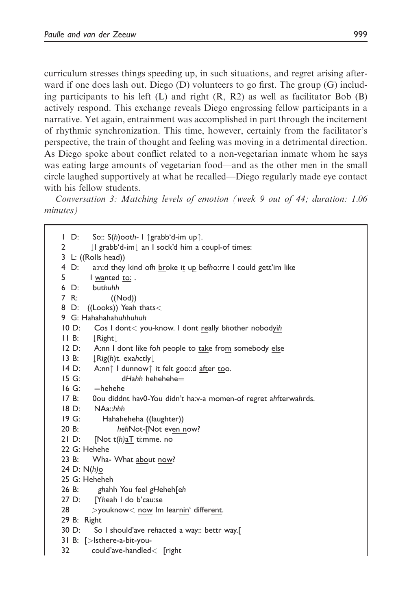curriculum stresses things speeding up, in such situations, and regret arising afterward if one does lash out. Diego (D) volunteers to go first. The group (G) including participants to his left (L) and right  $(R, R2)$  as well as facilitator Bob  $(B)$ actively respond. This exchange reveals Diego engrossing fellow participants in a narrative. Yet again, entrainment was accomplished in part through the incitement of rhythmic synchronization. This time, however, certainly from the facilitator's perspective, the train of thought and feeling was moving in a detrimental direction. As Diego spoke about conflict related to a non-vegetarian inmate whom he says was eating large amounts of vegetarian food—and as the other men in the small circle laughed supportively at what he recalled—Diego regularly made eye contact with his fellow students.

Conversation 3: Matching levels of emotion (week 9 out of 44; duration: 1.06 minutes)

1 D: So:: S(h)ooth- I  $\hat{\sigma}$ grabb'd-im up $\hat{\tau}$ .<br>2 | | grabb'd-im| an I sock'd him a c  $\downarrow$ l grabb'd-im $\downarrow$  an I sock'd him a coupl-of times: 3 L: ((Rolls head)) 4 D: a:n:d they kind ofh broke it up befho:rre I could gett'im like 5 I wanted to: . 6 D: buthuhh 7 R: ((Nod)) 8 D: ((Looks)) Yeah thats< 9 G: Hahahahahuhhuhuh 10 D: Cos I dont< you-know. I dont really bhother nobodyih 11 B:  $\downarrow$  Right  $\downarrow$ <br>12 D: A:nn I A:nn I dont like foh people to take from somebody else 13 B:  $\downarrow$ Rig(h)t. exahctly $\downarrow$ <br>14 D: A:nn<sup>↑</sup> I dunnow↑ 14 D: A:nn $\uparrow$  I dunnow $\uparrow$  it felt goo::d after too.<br>15 G: dHahh hehehehe= 15 G: dHahh hehehehe $=$ <br>16 G:  $=$ hehehe  $16 G:$   $=$ hehehe<br> $17 B:$  0ou diddr 0ou diddnt hav0-You didn't ha:v-a momen-of regret ahfterwahrds. 18 D: NAa::hhh 19 G: Hahaheheha ((laughter)) 20 B: hehNot-[Not even now? 21 D: [Not t(h)aT ti:mme. no 22 G: Hehehe 23 B: Wha- What about now? 24 D: N(h)o 25 G: Heheheh 26 B: ghahh You feel gHeheh[eh 27 D: [Yheah I do b'cau:se 28 >youknow< now Im learnin' different. 29 B: Right 30 D: So I should'ave rehacted a way:: bettr way.[ 31 B: [>Isthere-a-bit-you-32 could'ave-handled< [right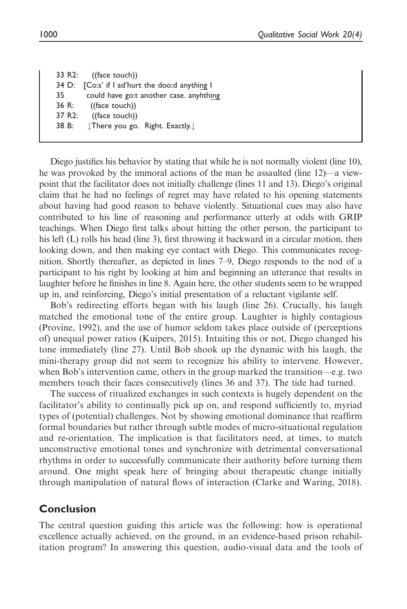33 R2: ((face touch)) 34 D: [Co:s' if I ad'hurt the doo:d anything I 35 could have go:t another case. anyhthing 36 R: ((face touch)) 37 R2: ((face touch)) 38 B:  $\downarrow$  There you go. Right. Exactly. $\downarrow$ 

Diego justifies his behavior by stating that while he is not normally violent (line 10), he was provoked by the immoral actions of the man he assaulted (line 12)—a viewpoint that the facilitator does not initially challenge (lines 11 and 13). Diego's original claim that he had no feelings of regret may have related to his opening statements about having had good reason to behave violently. Situational cues may also have contributed to his line of reasoning and performance utterly at odds with GRIP teachings. When Diego first talks about hitting the other person, the participant to his left (L) rolls his head (line 3), first throwing it backward in a circular motion, then looking down, and then making eye contact with Diego. This communicates recognition. Shortly thereafter, as depicted in lines 7–9, Diego responds to the nod of a participant to his right by looking at him and beginning an utterance that results in laughter before he finishes in line 8. Again here, the other students seem to be wrapped up in, and reinforcing, Diego's initial presentation of a reluctant vigilante self.

Bob's redirecting efforts began with his laugh (line 26). Crucially, his laugh matched the emotional tone of the entire group. Laughter is highly contagious (Provine, 1992), and the use of humor seldom takes place outside of (perceptions of) unequal power ratios (Kuipers, 2015). Intuiting this or not, Diego changed his tone immediately (line 27). Until Bob shook up the dynamic with his laugh, the mini-therapy group did not seem to recognize his ability to intervene. However, when Bob's intervention came, others in the group marked the transition—e.g. two members touch their faces consecutively (lines 36 and 37). The tide had turned.

The success of ritualized exchanges in such contexts is hugely dependent on the facilitator's ability to continually pick up on, and respond sufficiently to, myriad types of (potential) challenges. Not by showing emotional dominance that reaffirm formal boundaries but rather through subtle modes of micro-situational regulation and re-orientation. The implication is that facilitators need, at times, to match unconstructive emotional tones and synchronize with detrimental conversational rhythms in order to successfully communicate their authority before turning them around. One might speak here of bringing about therapeutic change initially through manipulation of natural flows of interaction (Clarke and Waring, 2018).

### Conclusion

The central question guiding this article was the following: how is operational excellence actually achieved, on the ground, in an evidence-based prison rehabilitation program? In answering this question, audio-visual data and the tools of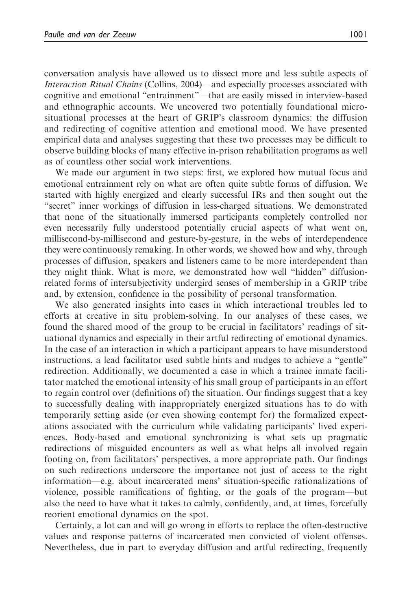conversation analysis have allowed us to dissect more and less subtle aspects of Interaction Ritual Chains (Collins, 2004)—and especially processes associated with cognitive and emotional "entrainment"—that are easily missed in interview-based and ethnographic accounts. We uncovered two potentially foundational microsituational processes at the heart of GRIP's classroom dynamics: the diffusion and redirecting of cognitive attention and emotional mood. We have presented empirical data and analyses suggesting that these two processes may be difficult to observe building blocks of many effective in-prison rehabilitation programs as well as of countless other social work interventions.

We made our argument in two steps: first, we explored how mutual focus and emotional entrainment rely on what are often quite subtle forms of diffusion. We started with highly energized and clearly successful IRs and then sought out the "secret" inner workings of diffusion in less-charged situations. We demonstrated that none of the situationally immersed participants completely controlled nor even necessarily fully understood potentially crucial aspects of what went on, millisecond-by-millisecond and gesture-by-gesture, in the webs of interdependence they were continuously remaking. In other words, we showed how and why, through processes of diffusion, speakers and listeners came to be more interdependent than they might think. What is more, we demonstrated how well "hidden" diffusionrelated forms of intersubjectivity undergird senses of membership in a GRIP tribe and, by extension, confidence in the possibility of personal transformation.

We also generated insights into cases in which interactional troubles led to efforts at creative in situ problem-solving. In our analyses of these cases, we found the shared mood of the group to be crucial in facilitators' readings of situational dynamics and especially in their artful redirecting of emotional dynamics. In the case of an interaction in which a participant appears to have misunderstood instructions, a lead facilitator used subtle hints and nudges to achieve a "gentle" redirection. Additionally, we documented a case in which a trainee inmate facilitator matched the emotional intensity of his small group of participants in an effort to regain control over (definitions of) the situation. Our findings suggest that a key to successfully dealing with inappropriately energized situations has to do with temporarily setting aside (or even showing contempt for) the formalized expectations associated with the curriculum while validating participants' lived experiences. Body-based and emotional synchronizing is what sets up pragmatic redirections of misguided encounters as well as what helps all involved regain footing on, from facilitators' perspectives, a more appropriate path. Our findings on such redirections underscore the importance not just of access to the right information—e.g. about incarcerated mens' situation-specific rationalizations of violence, possible ramifications of fighting, or the goals of the program—but also the need to have what it takes to calmly, confidently, and, at times, forcefully reorient emotional dynamics on the spot.

Certainly, a lot can and will go wrong in efforts to replace the often-destructive values and response patterns of incarcerated men convicted of violent offenses. Nevertheless, due in part to everyday diffusion and artful redirecting, frequently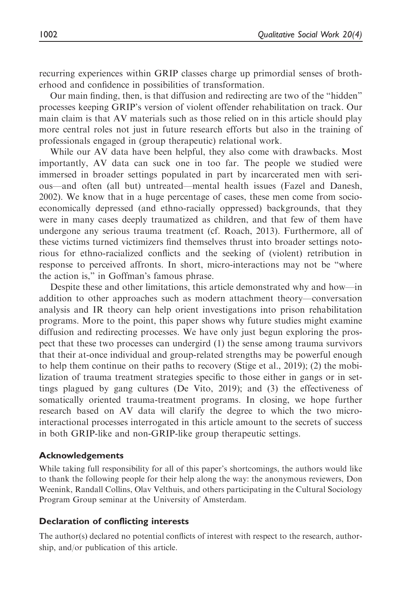recurring experiences within GRIP classes charge up primordial senses of brotherhood and confidence in possibilities of transformation.

Our main finding, then, is that diffusion and redirecting are two of the "hidden" processes keeping GRIP's version of violent offender rehabilitation on track. Our main claim is that AV materials such as those relied on in this article should play more central roles not just in future research efforts but also in the training of professionals engaged in (group therapeutic) relational work.

While our AV data have been helpful, they also come with drawbacks. Most importantly, AV data can suck one in too far. The people we studied were immersed in broader settings populated in part by incarcerated men with serious—and often (all but) untreated—mental health issues (Fazel and Danesh, 2002). We know that in a huge percentage of cases, these men come from socioeconomically depressed (and ethno-racially oppressed) backgrounds, that they were in many cases deeply traumatized as children, and that few of them have undergone any serious trauma treatment (cf. Roach, 2013). Furthermore, all of these victims turned victimizers find themselves thrust into broader settings notorious for ethno-racialized conflicts and the seeking of (violent) retribution in response to perceived affronts. In short, micro-interactions may not be "where the action is," in Goffman's famous phrase.

Despite these and other limitations, this article demonstrated why and how—in addition to other approaches such as modern attachment theory—conversation analysis and IR theory can help orient investigations into prison rehabilitation programs. More to the point, this paper shows why future studies might examine diffusion and redirecting processes. We have only just begun exploring the prospect that these two processes can undergird (1) the sense among trauma survivors that their at-once individual and group-related strengths may be powerful enough to help them continue on their paths to recovery (Stige et al., 2019); (2) the mobilization of trauma treatment strategies specific to those either in gangs or in settings plagued by gang cultures (De Vito, 2019); and (3) the effectiveness of somatically oriented trauma-treatment programs. In closing, we hope further research based on AV data will clarify the degree to which the two microinteractional processes interrogated in this article amount to the secrets of success in both GRIP-like and non-GRIP-like group therapeutic settings.

#### Acknowledgements

While taking full responsibility for all of this paper's shortcomings, the authors would like to thank the following people for their help along the way: the anonymous reviewers, Don Weenink, Randall Collins, Olav Velthuis, and others participating in the Cultural Sociology Program Group seminar at the University of Amsterdam.

#### Declaration of conflicting interests

The author(s) declared no potential conflicts of interest with respect to the research, authorship, and/or publication of this article.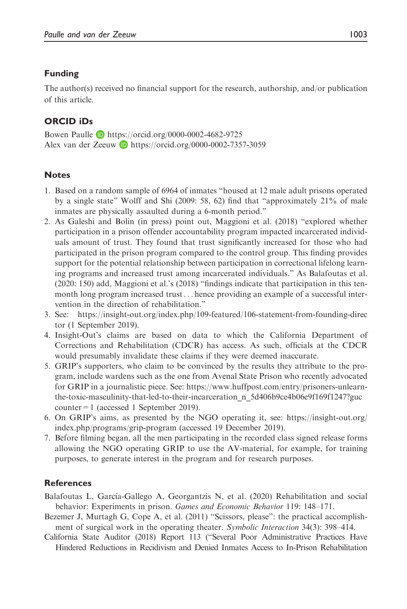#### Funding

The author(s) received no financial support for the research, authorship, and/or publication of this article.

#### ORCID iDs

Bowen Paulle **D** <https://orcid.org/0000-0002-4682-9725> Alex van der Zeeuw D <https://orcid.org/0000-0002-7357-3059>

#### **Notes**

- 1. Based on a random sample of 6964 of inmates "housed at 12 male adult prisons operated by a single state" Wolff and Shi (2009: 58, 62) find that "approximately 21% of male inmates are physically assaulted during a 6-month period."
- 2. As Galeshi and Bolin (in press) point out, Maggioni et al. (2018) "explored whether participation in a prison offender accountability program impacted incarcerated individuals amount of trust. They found that trust significantly increased for those who had participated in the prison program compared to the control group. This finding provides support for the potential relationship between participation in correctional lifelong learning programs and increased trust among incarcerated individuals." As Balafoutas et al. (2020: 150) add, Maggioni et al.'s (2018) "findings indicate that participation in this tenmonth long program increased trust... hence providing an example of a successful intervention in the direction of rehabilitation."
- 3. See: [https://insight-out.org/index.php/109-featured/106-statement-from-founding-direc](https://insight-out.org/index.php/109-featured/106-statement-from-founding-director) [tor](https://insight-out.org/index.php/109-featured/106-statement-from-founding-director) (1 September 2019).
- 4. Insight-Out's claims are based on data to which the California Department of Corrections and Rehabilitation (CDCR) has access. As such, officials at the CDCR would presumably invalidate these claims if they were deemed inaccurate.
- 5. GRIP's supporters, who claim to be convinced by the results they attribute to the program, include wardens such as the one from Avenal State Prison who recently advocated for GRIP in a journalistic piece. See: [https://www.huffpost.com/entry/prisoners-unlearn](https://www.huffpost.com/entry/prisoners-unlearn-the-toxic-masculinity-that-led-to-their-incarceration_n_5d406b9ce4b06e9f169f1247?guccounter=1)[the-toxic-masculinity-that-led-to-their-incarceration\\_n\\_5d406b9ce4b06e9f169f1247?guc](https://www.huffpost.com/entry/prisoners-unlearn-the-toxic-masculinity-that-led-to-their-incarceration_n_5d406b9ce4b06e9f169f1247?guccounter=1) [counter=1](https://www.huffpost.com/entry/prisoners-unlearn-the-toxic-masculinity-that-led-to-their-incarceration_n_5d406b9ce4b06e9f169f1247?guccounter=1) (accessed 1 September 2019).
- 6. On GRIP's aims, as presented by the NGO operating it, see: [https://insight-out.org/](https://insight-out.org/index.php/programs/grip-program) [index.php/programs/grip-program](https://insight-out.org/index.php/programs/grip-program) (accessed 19 December 2019).
- 7. Before filming began, all the men participating in the recorded class signed release forms allowing the NGO operating GRIP to use the AV-material, for example, for training purposes, to generate interest in the program and for research purposes.

#### **References**

- Balafoutas L, García-Gallego A, Georgantzis N, et al. (2020) Rehabilitation and social behavior: Experiments in prison. Games and Economic Behavior 119: 148–171.
- Bezemer J, Murtagh G, Cope A, et al. (2011) "Scissors, please": the practical accomplishment of surgical work in the operating theater. Symbolic Interaction 34(3): 398–414.
- California State Auditor (2018) Report 113 ("Several Poor Administrative Practices Have Hindered Reductions in Recidivism and Denied Inmates Access to In-Prison Rehabilitation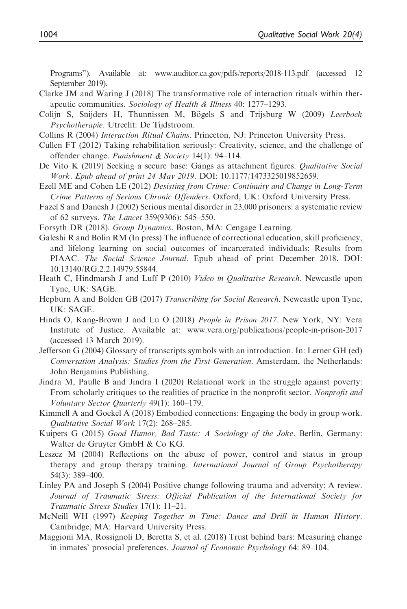Programs"). Available at: [www.auditor.ca.gov/pdfs/reports/2018-113.pdf](http://www.auditor.ca.gov/pdfs/reports/2018-113.pdf) (accessed 12 September 2019).

- Clarke JM and Waring J (2018) The transformative role of interaction rituals within therapeutic communities. Sociology of Health & Illness 40: 1277–1293.
- Colijn S, Snijders H, Thunnissen M, Bögels S and Trijsburg W (2009) Leerboek Psychotherapie. Utrecht: De Tijdstroom.
- Collins R (2004) Interaction Ritual Chains. Princeton, NJ: Princeton University Press.
- Cullen FT (2012) Taking rehabilitation seriously: Creativity, science, and the challenge of offender change. Punishment & Society 14(1): 94–114.
- De Vito K (2019) Seeking a secure base: Gangs as attachment figures. Qualitative Social Work. Epub ahead of print 24 May 2019. DOI: 10.1177/1473325019852659.
- Ezell ME and Cohen LE (2012) Desisting from Crime: Continuity and Change in Long-Term Crime Patterns of Serious Chronic Offenders. Oxford, UK: Oxford University Press.
- Fazel S and Danesh J (2002) Serious mental disorder in 23,000 prisoners: a systematic review of 62 surveys. The Lancet 359(9306): 545–550.
- Forsyth DR (2018). Group Dynamics. Boston, MA: Cengage Learning.
- Galeshi R and Bolin RM (In press) The influence of correctional education, skill proficiency, and lifelong learning on social outcomes of incarcerated individuals: Results from PIAAC. The Social Science Journal. Epub ahead of print December 2018. DOI: 10.13140/RG.2.2.14979.55844.
- Heath C, Hindmarsh J and Luff P (2010) Video in Qualitative Research. Newcastle upon Tyne, UK: SAGE.
- Hepburn A and Bolden GB (2017) Transcribing for Social Research. Newcastle upon Tyne, UK: SAGE.
- Hinds O, Kang-Brown J and Lu O (2018) People in Prison 2017. New York, NY: Vera Institute of Justice. Available at: [www.vera.org/publications/people-in-prison-2017](http://www.vera.org/publications/people-in-prison-2017) (accessed 13 March 2019).
- Jefferson G (2004) Glossary of transcripts symbols with an introduction. In: Lerner GH (ed) Conversation Analysis: Studies from the First Generation. Amsterdam, the Netherlands: John Benjamins Publishing.
- Jindra M, Paulle B and Jindra I (2020) Relational work in the struggle against poverty: From scholarly critiques to the realities of practice in the nonprofit sector. Nonprofit and Voluntary Sector Quarterly 49(1): 160–179.
- Kimmell A and Gockel A (2018) Embodied connections: Engaging the body in group work. Qualitative Social Work 17(2): 268–285.
- Kuipers G (2015) Good Humor, Bad Taste: A Sociology of the Joke. Berlin, Germany: Walter de Gruyter GmbH & Co KG.
- Leszcz M (2004) Reflections on the abuse of power, control and status in group therapy and group therapy training. International Journal of Group Psychotherapy 54(3): 389–400.
- Linley PA and Joseph S (2004) Positive change following trauma and adversity: A review. Journal of Traumatic Stress: Official Publication of the International Society for Traumatic Stress Studies 17(1): 11–21.
- McNeill WH (1997) Keeping Together in Time: Dance and Drill in Human History. Cambridge, MA: Harvard University Press.
- Maggioni MA, Rossignoli D, Beretta S, et al. (2018) Trust behind bars: Measuring change in inmates' prosocial preferences. Journal of Economic Psychology 64: 89–104.